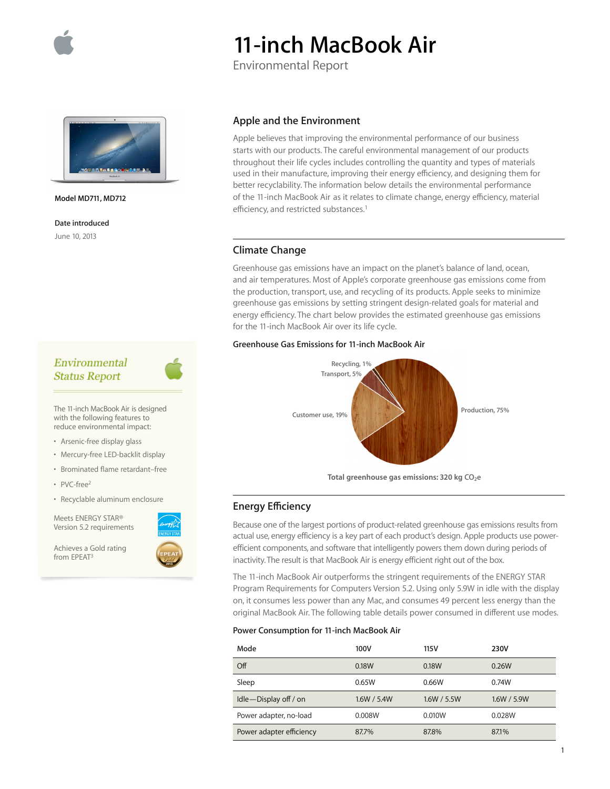

# **11-inch MacBook Air**

Environmental Report



**Model MD711, MD712**

**Date introduced** June 10, 2013

## Environmental **Status Report**

The 11-inch MacBook Air is designed with the following features to reduce environmental impact:

• Arsenic-free display glass

- Mercury-free LED-backlit display
- Brominated flame retardant–free
- PVC-free<sup>2</sup>
- Recyclable aluminum enclosure

Meets ENERGY STAR® Version 5.2 requirements

Achieves a Gold rating from EPEAT3



#### **Apple and the Environment**

Apple believes that improving the environmental performance of our business starts with our products. The careful environmental management of our products throughout their life cycles includes controlling the quantity and types of materials used in their manufacture, improving their energy efficiency, and designing them for better recyclability. The information below details the environmental performance of the 11-inch MacBook Air as it relates to climate change, energy efficiency, material efficiency, and restricted substances.<sup>1</sup>

## **Climate Change**

Greenhouse gas emissions have an impact on the planet's balance of land, ocean, and air temperatures. Most of Apple's corporate greenhouse gas emissions come from the production, transport, use, and recycling of its products. Apple seeks to minimize greenhouse gas emissions by setting stringent design-related goals for material and energy efficiency. The chart below provides the estimated greenhouse gas emissions for the 11-inch MacBook Air over its life cycle.

#### **Greenhouse Gas Emissions for 11-inch MacBook Air**



Total greenhouse gas emissions: 320 kg CO<sub>2</sub>e

## **Energy Efficiency**

Because one of the largest portions of product-related greenhouse gas emissions results from actual use, energy efficiency is a key part of each product's design. Apple products use powerefficient components, and software that intelligently powers them down during periods of inactivity. The result is that MacBook Air is energy efficient right out of the box.

The 11-inch MacBook Air outperforms the stringent requirements of the ENERGY STAR Program Requirements for Computers Version 5.2. Using only 5.9W in idle with the display on, it consumes less power than any Mac, and consumes 49 percent less energy than the original MacBook Air. The following table details power consumed in different use modes.

#### **Power Consumption for 11-inch MacBook Air**

| Mode                     | 100V        | 115 V       | <b>230V</b> |
|--------------------------|-------------|-------------|-------------|
| Off                      | 0.18W       | 0.18W       | 0.26W       |
| Sleep                    | 0.65W       | 0.66W       | 0.74W       |
| Idle-Display off / on    | 1.6W / 5.4W | 1.6W / 5.5W | 1.6W / 5.9W |
| Power adapter, no-load   | 0.008W      | 0.010W      | 0.028W      |
| Power adapter efficiency | 87.7%       | 87.8%       | 87.1%       |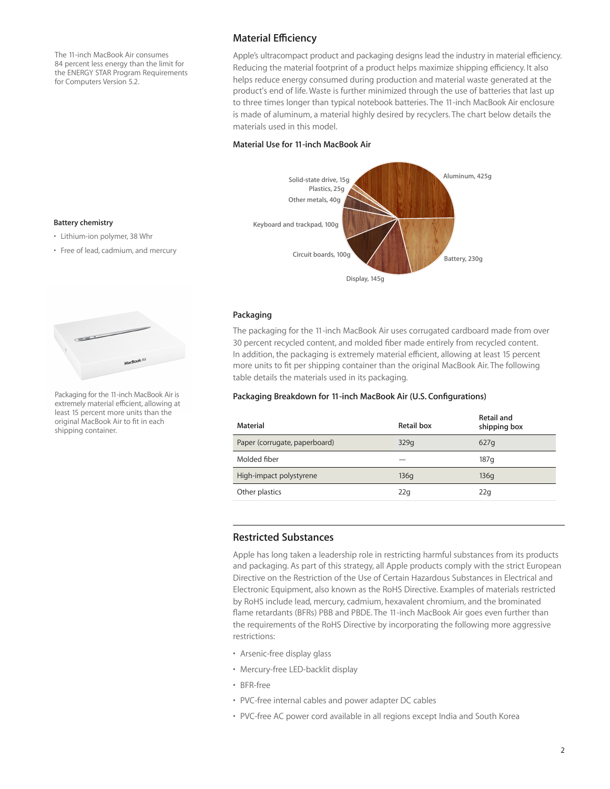The 11-inch MacBook Air consumes 84 percent less energy than the limit for the ENERGY STAR Program Requirements for Computers Version 5.2.

## **Material Efficiency**

Apple's ultracompact product and packaging designs lead the industry in material efficiency. Reducing the material footprint of a product helps maximize shipping efficiency. It also helps reduce energy consumed during production and material waste generated at the product's end of life. Waste is further minimized through the use of batteries that last up to three times longer than typical notebook batteries. The 11-inch MacBook Air enclosure is made of aluminum, a material highly desired by recyclers. The chart below details the materials used in this model.

#### **Material Use for 11-inch MacBook Air**



#### **Packaging**

The packaging for the 11-inch MacBook Air uses corrugated cardboard made from over 30 percent recycled content, and molded fiber made entirely from recycled content. In addition, the packaging is extremely material efficient, allowing at least 15 percent more units to fit per shipping container than the original MacBook Air. The following table details the materials used in its packaging.

#### **Packaging Breakdown for 11-inch MacBook Air (U.S. Configurations)**

| Material                      | Retail box | Retail and<br>shipping box |
|-------------------------------|------------|----------------------------|
| Paper (corrugate, paperboard) | 329q       | 627q                       |
| Molded fiber                  |            | 187 <sub>a</sub>           |
| High-impact polystyrene       | 136q       | 136q                       |
| Other plastics                | 22q        | 22q                        |

### **Restricted Substances**

Apple has long taken a leadership role in restricting harmful substances from its products and packaging. As part of this strategy, all Apple products comply with the strict European Directive on the Restriction of the Use of Certain Hazardous Substances in Electrical and Electronic Equipment, also known as the RoHS Directive. Examples of materials restricted by RoHS include lead, mercury, cadmium, hexavalent chromium, and the brominated flame retardants (BFRs) PBB and PBDE. The 11-inch MacBook Air goes even further than the requirements of the RoHS Directive by incorporating the following more aggressive restrictions:

- Arsenic-free display glass
- Mercury-free LED-backlit display
- BFR-free
- PVC-free internal cables and power adapter DC cables
- PVC-free AC power cord available in all regions except India and South Korea

#### **Battery chemistry**

- Lithium-ion polymer, 38 Whr
- Free of lead, cadmium, and mercury



Packaging for the 11-inch MacBook Air is extremely material efficient, allowing at least 15 percent more units than the original MacBook Air to fit in each shipping container.